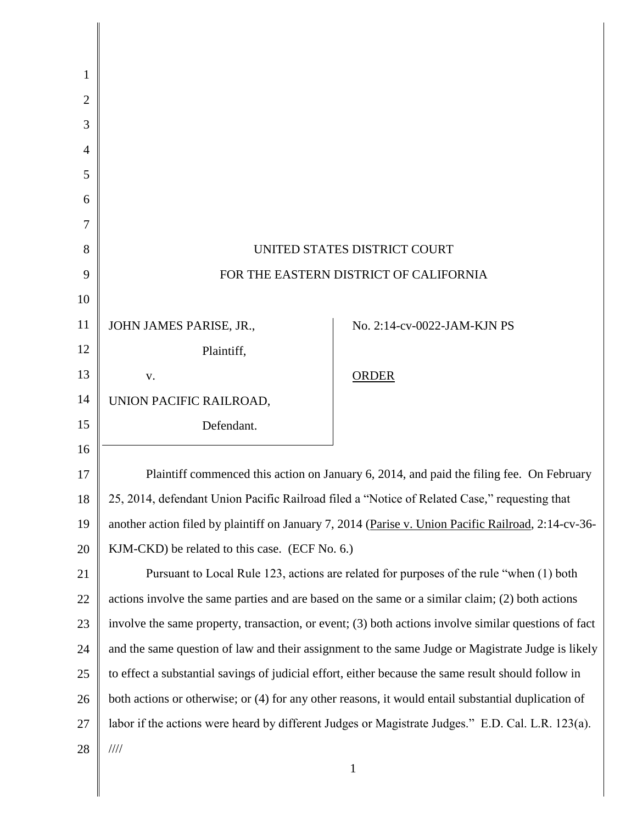| 1              |                                                                                                      |                             |
|----------------|------------------------------------------------------------------------------------------------------|-----------------------------|
| $\overline{2}$ |                                                                                                      |                             |
| 3              |                                                                                                      |                             |
| 4              |                                                                                                      |                             |
| 5              |                                                                                                      |                             |
| 6              |                                                                                                      |                             |
| 7              |                                                                                                      |                             |
| 8              | UNITED STATES DISTRICT COURT                                                                         |                             |
| 9              | FOR THE EASTERN DISTRICT OF CALIFORNIA                                                               |                             |
| 10             |                                                                                                      |                             |
| 11             | JOHN JAMES PARISE, JR.,                                                                              | No. 2:14-cv-0022-JAM-KJN PS |
| 12             | Plaintiff,                                                                                           |                             |
| 13             | V.                                                                                                   | <b>ORDER</b>                |
| 14             | UNION PACIFIC RAILROAD,                                                                              |                             |
| 15             | Defendant.                                                                                           |                             |
| 16             |                                                                                                      |                             |
| 17             | Plaintiff commenced this action on January 6, 2014, and paid the filing fee. On February             |                             |
| 18             | 25, 2014, defendant Union Pacific Railroad filed a "Notice of Related Case," requesting that         |                             |
| 19             | another action filed by plaintiff on January 7, 2014 (Parise v. Union Pacific Railroad, 2:14-cv-36-  |                             |
| 20             | KJM-CKD) be related to this case. (ECF No. 6.)                                                       |                             |
| 21             | Pursuant to Local Rule 123, actions are related for purposes of the rule "when (1) both              |                             |
| 22             | actions involve the same parties and are based on the same or a similar claim; (2) both actions      |                             |
| 23             | involve the same property, transaction, or event; (3) both actions involve similar questions of fact |                             |
| 24             | and the same question of law and their assignment to the same Judge or Magistrate Judge is likely    |                             |
| 25             | to effect a substantial savings of judicial effort, either because the same result should follow in  |                             |
| 26             | both actions or otherwise; or (4) for any other reasons, it would entail substantial duplication of  |                             |
| 27             | labor if the actions were heard by different Judges or Magistrate Judges." E.D. Cal. L.R. 123(a).    |                             |
| 28             | $\frac{1}{1}$                                                                                        |                             |
|                |                                                                                                      | 1                           |